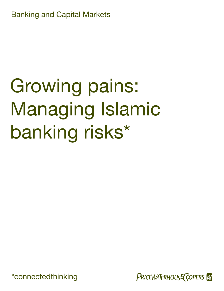<span id="page-0-0"></span>Banking and Capital Markets

# Growing pains: Managing Islamic banking risks\*

[\\*connectedthinking](#page-1-0)

PRICEWATERHOUSE COPERS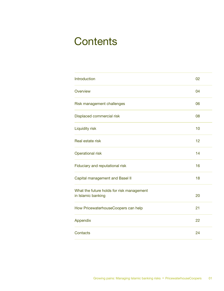### **Contents**

| Introduction                              | 02 |
|-------------------------------------------|----|
| Overview                                  | 04 |
| Risk management challenges                | 06 |
| Displaced commercial risk                 | 08 |
| <b>Liquidity risk</b>                     | 10 |
| Real estate risk                          | 12 |
| <b>Operational risk</b>                   | 14 |
| Fiduciary and reputational risk           | 16 |
| Capital management and Basel II           | 18 |
| What the future holds for risk management |    |
| in Islamic banking                        | 20 |
| How PricewaterhouseCoopers can help       | 21 |
| Appendix                                  | 22 |
| Contacts                                  | 24 |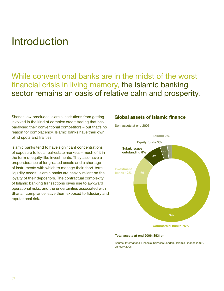### <span id="page-3-0"></span>Introduction

### While conventional banks are in the midst of the worst financial crisis in living memory, the Islamic banking sector remains an oasis of relative calm and prosperity.

Shariah law precludes Islamic institutions from getting involved in the kind of complex credit trading that has paralysed their conventional competitors – but that's no reason for complacency. Islamic banks have their own blind spots and frailties.

Islamic banks tend to have significant concentrations of exposure to local real-estate markets – much of it in the form of equity-like investments. They also have a preponderance of long-dated assets and a shortage of instruments with which to manage their short-term liquidity needs; Islamic banks are heavily reliant on the loyalty of their depositors. The contractual complexity of Islamic banking transactions gives rise to awkward operational risks, and the uncertainties associated with Shariah compliance leave them exposed to fiduciary and reputational risk.

#### **Global assets of Islamic finance**



#### **Total assets at end 2006: \$531bn**

Source: International Financial Services London, 'Islamic Finance 2008', January 2008.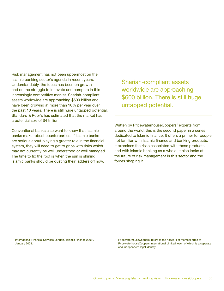<span id="page-4-0"></span>Risk management has not been uppermost on the Islamic banking sector's agenda in recent years. Understandably, the focus has been on growth and on the struggle to innovate and compete in this increasingly competitive market. Shariah-compliant assets worldwide are approaching \$600 billion and have been growing at more than 10% per year over the past 10 years. There is still huge untapped potential. Standard & Poor's has estimated that the market has a potential size of \$4 trillion.<sup>1</sup>

Conventional banks also want to know that Islamic banks make robust counterparties. If Islamic banks are serious about playing a greater role in the financial system, they will need to get to grips with risks which may not currently be well understood or well managed. The time to fix the roof is when the sun is shining: Islamic banks should be dusting their ladders off now.

Shariah-compliant assets worldwide are approaching \$600 billion. There is still huge untapped potential.

Written by PricewaterhouseCoopers<sup>2</sup> experts from around the world, this is the second paper in a series dedicated to Islamic finance. It offers a primer for people not familiar with Islamic finance and banking products. It examines the risks associated with those products and with Islamic banking as a whole. It also looks at the future of risk management in this sector and the forces shaping it.

1 International Financial Services London, 'Islamic Finance 2008', January 2008.

<sup>&</sup>lt;sup>2</sup> PricewaterhouseCoopers' refers to the network of member firms of PricewaterhouseCoopers International Limited, each of which is a separate and independent legal identity.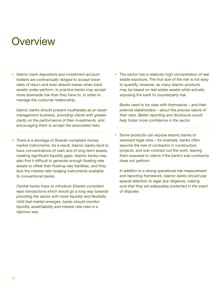### <span id="page-5-0"></span>**Overview**

• Islamic bank depositors and investment account holders are contractually obliged to accept lower rates of return and even absorb losses when bank assets under-perform. In practice banks may accept more downside risk than they have to, in order to manage the customer relationship.

 *Islamic banks should present mudharaba as an asset management business, providing clients with greater clarity on the performance of their investments, and encouraging them to accept the associated risks.*

There is a shortage of Shariah-compliant money market instruments. As a result, Islamic banks tend to have concentrations of cash and of long-term assets, creating significant liquidity gaps. Islamic banks may also find it difficult to generate enough floating-rate assets to offset their floating-rate liabilities, and they lack the interest rate hedging instruments available to conventional banks.

 *Central banks hope to introduce Shariah-compliant repo transactions which would go a long way towards providing the sector with more liquidity and flexibility. Until that market emerges, banks should monitor liquidity, asset/liability and interest rate risks in a rigorous way.*

• The sector has a relatively high concentration of real estate exposure. The true size of the risk is not easy to quantify, however, as many Islamic products may be based on real estate assets while actually exposing the bank to counterparty risk.

*Banks need to be clear with themselves – and their external stakeholders – about the precise nature of their risks. Better reporting and disclosure would help foster more confidence in the sector.*

• Some products can expose Islamic banks to awkward legal risks – for example, banks often assume the role of contractor in construction projects, and sub-contract out the work, leaving them exposed to claims if the bank's sub-contractor does not perform.

*In addition to a strong operational risk measurement and reporting framework, Islamic banks should pay special attention to legal due diligence, making sure that they are adequately protected in the event of disputes.*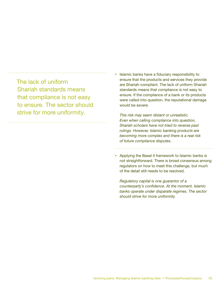<span id="page-6-0"></span>The lack of uniform Shariah standards means that compliance is not easy to ensure. The sector should strive for more uniformity.

• Islamic banks have a fiduciary responsibility to ensure that the products and services they provide are Shariah-compliant. The lack of uniform Shariah standards means that compliance is not easy to ensure. If the compliance of a bank or its products were called into question, the reputational damage would be severe.

*This risk may seem distant or unrealistic. Even when calling compliance into question, Shariah scholars have not tried to reverse past rulings. However, Islamic banking products are becoming more complex and there is a real risk of future compliance disputes.* 

• Applying the Basel II framework to Islamic banks is not straightforward. There is broad consensus among regulators on how to meet this challenge, but much of the detail still needs to be resolved.

*Regulatory capital is one guarantor of a counterparty's confidence. At the moment, Islamic banks operate under disparate regimes. The sector should strive for more uniformity.*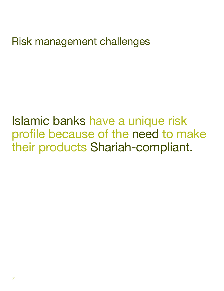<span id="page-7-0"></span>Risk management challenges

Islamic banks have a unique risk profile because of the need to make their products Shariah-compliant.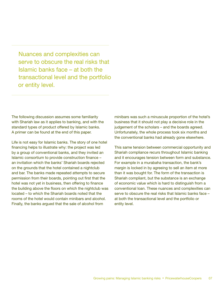<span id="page-8-0"></span>Nuances and complexities can serve to obscure the real risks that Islamic banks face – at both the transactional level and the portfolio or entity level.

The following discussion assumes some familiarity with Shariah law as it applies to banking, and with the standard types of product offered by Islamic banks. A primer can be found at the end of this paper.

Life is not easy for Islamic banks. The story of one hotel financing helps to illustrate why: the project was led by a group of conventional banks, and they invited an Islamic consortium to provide construction finance – an invitation which the banks' Shariah boards rejected on the grounds that the hotel contained a nightclub and bar. The banks made repeated attempts to secure permission from their boards, pointing out first that the hotel was not yet in business, then offering to finance the building above the floors on which the nightclub was located – to which the Shariah boards noted that the rooms of the hotel would contain minibars and alcohol. Finally, the banks argued that the sale of alcohol from

minibars was such a minuscule proportion of the hotel's business that it should not play a decisive role in the judgement of the scholars – and the boards agreed. Unfortunately, the whole process took six months and the conventional banks had already gone elsewhere.

This same tension between commercial opportunity and Shariah compliance recurs throughout Islamic banking and it encourages tension between form and substance. For example in a murabaha transaction, the bank's margin is locked in by agreeing to sell an item at more than it was bought for. The form of the transaction is Shariah compliant, but the substance is an exchange of economic value which is hard to distinguish from a conventional loan. These nuances and complexities can serve to obscure the real risks that Islamic banks face – at both the transactional level and the portfolio or entity level.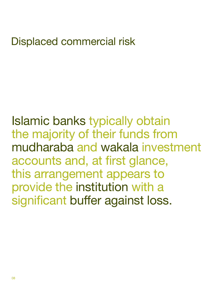### <span id="page-9-0"></span>Displaced commercial risk

Islamic banks typically obtain the majority of their funds from mudharaba and wakala investment accounts and, at first glance, this arrangement appears to provide the institution with a significant buffer against loss.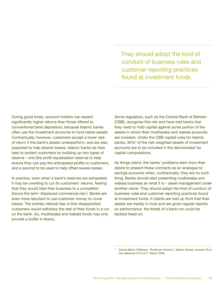They should adopt the kind of conduct of business rules and customer reporting practices found at investment funds.

<span id="page-10-0"></span>During good times, account holders can expect significantly higher returns than those offered to conventional bank depositors, because Islamic banks often use the investment accounts to fund riskier assets. Contractually, however, customers accept a lower rate of return if the bank's assets underperform, and are also expected to help absorb losses. Islamic banks do their best to protect customers by building up two types of reserve – one (the profit equalisation reserve) to help ensure they can pay the anticipated profits to customers, and a second to be used to help offset severe losses.

In practice, even when a bank's reserves are exhausted, it may be unwilling to cut its customers' returns, fearing that they would take their business to a competitor (hence the term 'displaced commercial risk'). Banks are even more reluctant to use customer money to cover losses. The entirely rational fear is that disappointed customers would withdraw the rest of their funds in a run on the bank. So, mudharaba and wakala funds may only provide a buffer in theory.

Some regulators, such as the Central Bank of Bahrain (CBB), recognise this risk and have told banks that they need to hold capital against some portion of the assets in which their mudharaba and wakala accounts are invested. Under the CBB capital rules for Islamic banks, 30%<sup>3</sup> of the risk-weighted assets of investment accounts are to be included in the denominator for capital computations.

As things stand, the banks' problems stem from their desire to present these contracts as an analogue to savings accounts when, contractually, they are no such thing. Banks should start presenting mudharaba and wakala business as what it is – asset management under another name. They should adopt the kind of conduct of business rules and customer reporting practices found at investment funds. If clients are told up front that their assets are merely in trust and are given regular reports on performance, the threat of a bank run could be tackled head-on.

<sup>&</sup>lt;sup>3</sup> Central Bank of Bahrain, 'Rulebook Volume 2, Islamic Banks, module CA-A, rule reference CA-A.3.2', March 2005.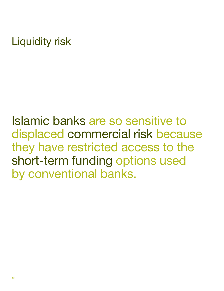### <span id="page-11-0"></span>Liquidity risk

Islamic banks are so sensitive to displaced commercial risk because they have restricted access to the short-term funding options used by conventional banks.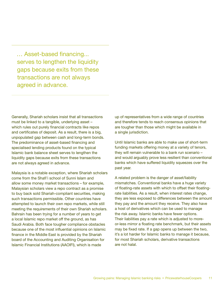<span id="page-12-0"></span> … Asset-based financing... serves to lengthen the liquidity gaps because exits from these transactions are not always agreed in advance.

Generally, Shariah scholars insist that all transactions must be linked to a tangible, underlying asset – which rules out purely financial contracts like repos and certificates of deposit. As a result, there is a big, unpopulated gap between cash and long-term bonds. The predominance of asset-based financing and specialised lending products found on the typical Islamic bank balance sheet serves to lengthen the liquidity gaps because exits from these transactions are not always agreed in advance.

Malaysia is a notable exception, where Shariah scholars come from the Shafi'i school of Sunni Islam and allow some money market transactions – for example, Malaysian scholars view a repo contract as a promise to buy back sold Shariah-compliant securities, making such transactions permissible. Other countries have attempted to launch their own repo markets, while still meeting the requirements of their own Shariah scholars. Bahrain has been trying for a number of years to get a local Islamic repo market off the ground, as has Saudi Arabia. Both face tougher compliance obstacles because one of the most influential opinions on Islamic finance in the Middle East is provided by the Shariah board of the Accounting and Auditing Organisation for Islamic Financial Institutions (AAOIFI), which is made

up of representatives from a wide range of countries and therefore tends to reach consensus opinions that are tougher than those which might be available in a single jurisdiction.

Until Islamic banks are able to make use of short-term funding markets offering money at a variety of tenors, they will remain vulnerable to a bank run scenario – and would arguably prove less resilient than conventional banks which have suffered liquidity squeezes over the past year.

A related problem is the danger of asset/liability mismatches. Conventional banks have a huge variety of floating-rate assets with which to offset their floatingrate liabilities. As a result, when interest rates change, they are less exposed to differences between the amount they pay and the amount they receive. They also have a host of derivatives which can be used to manage the risk away. Islamic banks have fewer options. Their liabilities pay a rate which is adjusted to moreor-less mirror a floating rate benchmark, but their assets may be fixed rate. If a gap opens up between the two, it's a lot harder for Islamic banks to manage it because, for most Shariah scholars, derivative transactions are not halal.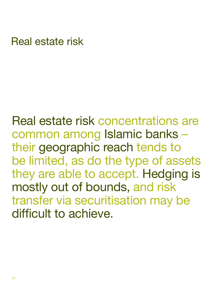### <span id="page-13-0"></span>Real estate risk

Real estate risk concentrations are common among Islamic banks – their geographic reach tends to be limited, as do the type of assets they are able to accept. Hedging is mostly out of bounds, and risk transfer via securitisation may be difficult to achieve.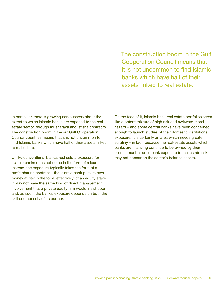The construction boom in the Gulf Cooperation Council means that it is not uncommon to find Islamic banks which have half of their assets linked to real estate.

<span id="page-14-0"></span>In particular, there is growing nervousness about the extent to which Islamic banks are exposed to the real estate sector, through musharaka and istisna contracts. The construction boom in the six Gulf Cooperation Council countries means that it is not uncommon to find Islamic banks which have half of their assets linked to real estate.

Unlike conventional banks, real estate exposure for Islamic banks does not come in the form of a loan. Instead, the exposure typically takes the form of a profit-sharing contract – the Islamic bank puts its own money at risk in the form, effectively, of an equity stake. It may not have the same kind of direct management involvement that a private equity firm would insist upon and, as such, the bank's exposure depends on both the skill and honesty of its partner.

On the face of it, Islamic bank real estate portfolios seem like a potent mixture of high risk and awkward moral hazard – and some central banks have been concerned enough to launch studies of their domestic institutions' exposure. It is certainly an area which needs greater scrutiny – in fact, because the real-estate assets which banks are financing continue to be owned by their clients, much Islamic bank exposure to real estate risk may not appear on the sector's balance sheets.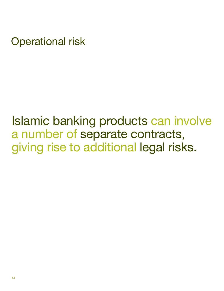<span id="page-15-0"></span>Operational risk

## Islamic banking products can involve a number of separate contracts, giving rise to additional legal risks.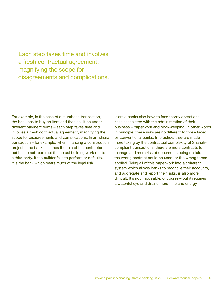<span id="page-16-0"></span>Each step takes time and involves a fresh contractual agreement, magnifying the scope for disagreements and complications.

For example, in the case of a murabaha transaction, the bank has to buy an item and then sell it on under different payment terms – each step takes time and involves a fresh contractual agreement, magnifying the scope for disagreements and complications. In an istisna transaction – for example, when financing a construction project – the bank assumes the role of the contractor but has to sub-contract the actual building work out to a third party. If the builder fails to perform or defaults, it is the bank which bears much of the legal risk.

Islamic banks also have to face thorny operational risks associated with the administration of their business – paperwork and book-keeping, in other words. In principle, these risks are no different to those faced by conventional banks. In practice, they are made more taxing by the contractual complexity of Shariahcompliant transactions: there are more contracts to manage and more risk of documents being mislaid; the wrong contract could be used, or the wrong terms applied. Tying all of this paperwork into a coherent system which allows banks to reconcile their accounts, and aggregate and report their risks, is also more difficult. It's not impossible, of course – but it requires a watchful eye and drains more time and energy.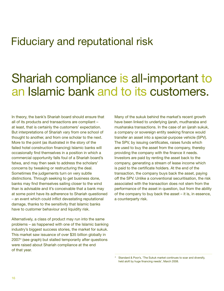### <span id="page-17-0"></span>Fiduciary and reputational risk

### Shariah compliance is all-important to an Islamic bank and to its customers.

In theory, the bank's Shariah board should ensure that all of its products and transactions are compliant – at least, that is certainly the customers' expectation. But interpretations of Shariah vary from one school of thought to another, and from one scholar to the next. More to the point (as illustrated in the story of the failed hotel construction financing) Islamic banks will occasionally find themselves in a position in which a commercial opportunity falls foul of a Shariah board's fatwa, and may then seek to address the scholars' concerns by tweaking or restructuring the deal. Sometimes the judgements turn on very subtle distinctions. Through seeking to get business done, banks may find themselves sailing closer to the wind than is advisable and it's conceivable that a bank may at some point have its adherence to Shariah questioned – an event which could inflict devastating reputational damage, thanks to the sensitivity that Islamic banks have to customer behaviour and liquidity risk.

Alternatively, a class of product may run into the same problems – as happened with one of the Islamic banking industry's biggest success stories, the market for sukuk. This market saw issuance of over \$35 billion globally in 20074 (see graph) but stalled temporarily after questions were raised about Shariah compliance at the end of that year.

Many of the sukuk behind the market's recent growth have been linked to underlying ijarah, mudharaba and musharaka transactions. In the case of an ijarah sukuk, a company or sovereign entity seeking finance would transfer an asset into a special-purpose vehicle (SPV). The SPV, by issuing certificates, raises funds which are used to buy the asset from the company, thereby providing the company with the finance it needs. Investors are paid by renting the asset back to the company, generating a stream of lease income which is paid to the certificate holders. At the end of the transaction, the company buys back the asset, paying off the SPV. Unlike a conventional securitisation, the risk associated with the transaction does not stem from the performance of the asset in question, but from the ability of the company to buy back the asset – it is, in essence, a counterparty risk.

<sup>4</sup> Standard & Poor's, 'The Sukuk market continues to soar and diversify, held aloft by huge financing needs', March 2008.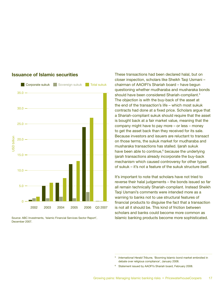

#### <span id="page-18-0"></span>**Issuance of Islamic securities**

Source: ABC Investments, 'Islamic Financial Services Sector Report', December 2007.

These transactions had been declared halal, but on closer inspection, scholars like Sheikh Tagi Usmani – chairman of AAOIFI's Shariah board – have begun questioning whether mudharaba and musharaka bonds should have been considered Shariah-compliant.<sup>5</sup> The objection is with the buy-back of the asset at the end of the transaction's life – which most sukuk contracts had done at a fixed price. Scholars argue that a Shariah-compliant sukuk should require that the asset is bought back at a fair market value, meaning that the company might have to pay more – or less – money to get the asset back than they received for its sale. Because investors and issuers are reluctant to transact on those terms, the sukuk market for mudharaba and musharaka transactions has stalled. Ijarah sukuk have been able to continue,<sup>6</sup> because the underlying ijarah transactions already incorporate the buy-back mechanism which caused controversy for other types of sukuk – it's not a feature of the sukuk structure itself.

It's important to note that scholars have not tried to reverse their halal judgements – the bonds issued so far all remain technically Shariah-compliant. Instead Sheikh Taqi Usmani's comments were intended more as a warning to banks not to use structural features of financial products to disguise the fact that a transaction is not all it should be. This kind of friction between scholars and banks could become more common as Islamic banking products become more sophisticated.

<sup>5</sup> *International Herald Tribune,* 'Booming Islamic bond market embroiled in debate over religious compliance', January 2008.

<sup>&</sup>lt;sup>6</sup> Statement issued by AAOFI's Shariah board, February 2008.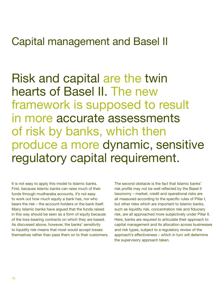### <span id="page-19-0"></span>Capital management and Basel II

Risk and capital are the twin hearts of Basel II. The new framework is supposed to result in more accurate assessments of risk by banks, which then produce a more dynamic, sensitive regulatory capital requirement.

It is not easy to apply this model to Islamic banks. First, because Islamic banks can raise much of their funds through mudharaba accounts, it's not easy to work out how much equity a bank has, nor who bears the risk – the account-holders or the bank itself. Many Islamic banks have argued that the funds raised in this way should be seen as a form of equity because of the loss-bearing contracts on which they are based. As discussed above, however, the banks' sensitivity to liquidity risk means that most would accept losses themselves rather than pass them on to their customers. The second obstacle is the fact that Islamic banks' risk profile may not be well reflected by the Basel II taxonomy – market, credit and operational risks are all measured according to the specific rules of Pillar I, but other risks which are important to Islamic banks, such as liquidity risk, concentration risk and fiduciary risk, are all approached more subjectively under Pillar II. Here, banks are required to articulate their approach to capital management and its allocation across businesses and risk types, subject to a regulatory review of the approach's effectiveness – which in turn will determine the supervisory approach taken.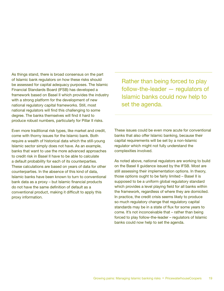<span id="page-20-0"></span>As things stand, there is broad consensus on the part of Islamic bank regulators on how these risks should be assessed for capital adequacy purposes. The Islamic Financial Standards Board (IFSB) has developed a framework based on Basel II which provides the industry with a strong platform for the development of new national regulatory capital frameworks. Still, most national regulators will find this challenging to some degree. The banks themselves will find it hard to produce robust numbers, particularly for Pillar II risks.

Even more traditional risk types, like market and credit, come with thorny issues for the Islamic bank. Both require a wealth of historical data which the still-young Islamic sector simply does not have. As an example, banks that want to use the more advanced approaches to credit risk in Basel II have to be able to calculate a default probability for each of its counterparties. These calculations are based on years of data for other counterparties. In the absence of this kind of data, Islamic banks have been known to turn to conventional bank data as a proxy – but Islamic financial products do not have the same definition of default as a conventional product, making it difficult to apply this proxy information.

Rather than being forced to play follow-the-leader — regulators of Islamic banks could now help to set the agenda.

These issues could be even more acute for conventional banks that also offer Islamic banking, because their capital requirements will be set by a non-Islamic regulator which might not fully understand the complexities involved.

As noted above, national regulators are working to build on the Basel II guidance issued by the IFSB. Most are still assessing their implementation options. In theory, those options ought to be fairly limited – Basel II is supposed to be a uniform global regulatory standard which provides a level playing field for all banks within the framework, regardless of where they are domiciled. In practice, the credit crisis seems likely to produce so much regulatory change that regulatory capital standards may be in a state of flux for some years to come. It's not inconceivable that – rather than being forced to play follow-the-leader – regulators of Islamic banks could now help to set the agenda.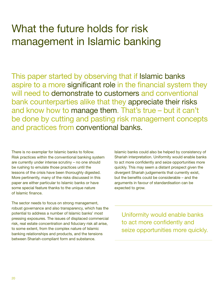### <span id="page-21-0"></span>What the future holds for risk management in Islamic banking

This paper started by observing that if Islamic banks aspire to a more significant role in the financial system they will need to demonstrate to customers and conventional bank counterparties alike that they appreciate their risks and know how to manage them. That's true – but it can't be done by cutting and pasting risk management concepts and practices from conventional banks.

There is no exemplar for Islamic banks to follow. Risk practices within the conventional banking system are currently under intense scrutiny – no one should be rushing to emulate those practices until the lessons of the crisis have been thoroughly digested. More pertinently, many of the risks discussed in this paper are either particular to Islamic banks or have some special feature thanks to the unique nature of Islamic finance.

The sector needs to focus on strong management, robust governance and also transparency, which has the potential to address a number of Islamic banks' most pressing exposures. The issues of displaced commercial risk, real estate concentration and fiduciary risk all arise, to some extent, from the complex nature of Islamic banking relationships and products, and the tensions between Shariah-compliant form and substance.

Islamic banks could also be helped by consistency of Shariah interpretation. Uniformity would enable banks to act more confidently and seize opportunities more quickly. This may seem a distant prospect given the divergent Shariah judgements that currently exist, but the benefits could be considerable – and the arguments in favour of standardisation can be expected to grow.

Uniformity would enable banks to act more confidently and seize opportunities more quickly.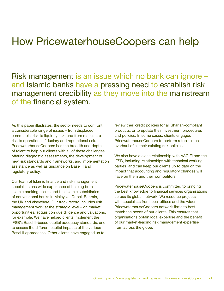### <span id="page-22-0"></span>How PricewaterhouseCoopers can help

Risk management is an issue which no bank can ignore – and Islamic banks have a pressing need to establish risk management credibility as they move into the mainstream of the financial system.

As this paper illustrates, the sector needs to confront a considerable range of issues – from displaced commercial risk to liquidity risk, and from real estate risk to operational, fiduciary and reputational risk. PricewaterhouseCoopers has the breadth and depth of talent to help our clients with all of these challenges, offering diagnostic assessments, the development of new risk standards and frameworks, and implementation assistance as well as guidance on Basel II and regulatory policy.

Our team of Islamic finance and risk management specialists has wide experience of helping both Islamic banking clients and the Islamic subsidiaries of conventional banks in Malaysia, Dubai, Bahrain, the UK and elsewhere. Our track record includes risk management work at the strategic level – on market opportunities, acquisition due diligence and valuations, for example. We have helped clients implement the IFSB's Basel II-based capital adequacy standards, and to assess the different capital impacts of the various Basel II approaches. Other clients have engaged us to

review their credit policies for all Shariah-compliant products, or to update their investment procedures and policies. In some cases, clients engaged PricewaterhouseCoopers to perform a top-to-toe overhaul of all their existing risk policies.

We also have a close relationship with AAOIFI and the IFSB, including relationships with technical working parties, and can keep our clients up to date on the impact that accounting and regulatory changes will have on them and their competitors.

PricewaterhouseCoopers is committed to bringing the best knowledge to financial services organisations across its global network. We resource projects with specialists from local offices and the wider PricewaterhouseCoopers network firms to best match the needs of our clients. This ensures that organisations obtain local expertise and the benefit of our market-leading risk management expertise from across the globe.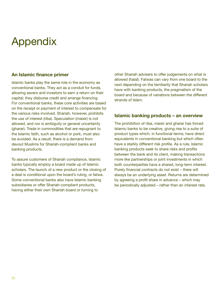### <span id="page-23-0"></span>Appendix

#### **An Islamic finance primer**

Islamic banks play the same role in the economy as conventional banks. They act as a conduit for funds, allowing savers and investors to earn a return on their capital; they disburse credit and arrange financing. For conventional banks, these core activities are based on the receipt or payment of interest to compensate for the various risks involved. Shariah, however, prohibits the use of interest (riba). Speculation (maisir) is not allowed, and nor is ambiguity or general uncertainty (gharar). Trade in commodities that are repugnant to the Islamic faith, such as alcohol or pork, must also be avoided. As a result, there is a demand from devout Muslims for Shariah-compliant banks and banking products.

To assure customers of Shariah compliance, Islamic banks typically employ a board made up of Islamic scholars. The launch of a new product or the closing of a deal is conditional upon the board's ruling, or fatwa. Some conventional banks also have Islamic banking subsidiaries or offer Shariah-compliant products, having either their own Shariah board or turning to

other Shariah advisers to offer judgements on what is allowed (halal). Fatwas can vary from one board to the next depending on the familiarity that Shariah scholars have with banking products, the pragmatism of the board and because of variations between the different strands of Islam.

#### **Islamic banking products – an overview**

The prohibition of riba, maisir and gharar has forced Islamic banks to be creative, giving rise to a suite of product types which, in functional terms, have direct equivalents in conventional banking but which often have a starkly different risk profile. As a rule, Islamic banking products seek to share risks and profits between the bank and its client, making transactions more like partnerships or joint investments in which both counterparties have a shared, long-term interest. Purely financial contracts do not exist – there will always be an underlying asset. Returns are determined by agreeing a profit share in advance – which may be periodically adjusted – rather than an interest rate.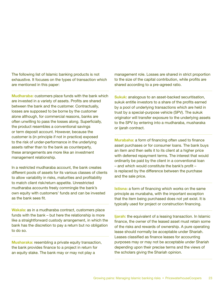<span id="page-24-0"></span>The following list of Islamic banking products is not exhaustive. It focuses on the types of transaction which are mentioned in this paper:

**Mudharaba:** customers place funds with the bank which are invested in a variety of assets. Profits are shared between the bank and the customer. Contractually, losses are supposed to be borne by the customer alone although, for commercial reasons, banks are often unwilling to pass the losses along. Superficially, the product resembles a conventional savings or term deposit account. However, because the customer is (in principle if not in practice) exposed to the risk of under-performance in the underlying assets rather than to the bank as counterparty, these arrangements are more like an investment management relationship.

In a restricted mudharaba account, the bank creates different pools of assets for its various classes of clients to allow variability in risks, maturities and profitability to match client risk/return appetite. Unrestricted mudharaba accounts freely commingle the bank's own equity with customers' funds and can be invested as the bank sees fit.

**Wakala:** as in a mudharaba contract, customers place funds with the bank – but here the relationship is more like a straightforward custody arrangement, in which the bank has the discretion to pay a return but no obligation to do so.

**Musharaka:** resembling a private equity transaction, the bank provides finance to a project in return for an equity stake. The bank may or may not play a

management role. Losses are shared in strict proportion to the size of the capital contribution, while profits are shared according to a pre-agreed ratio.

**Sukuk:** analogous to an asset-backed securitisation, sukuk entitle investors to a share of the profits earned by a pool of underlying transactions which are held in trust by a special-purpose vehicle (SPV). The sukuk originator will transfer exposure to the underlying assets to the SPV by entering into a mudharaba, musharaka or ijarah contract.

**Murabaha:** a form of financing often used to finance asset purchases or for consumer loans. The bank buys an item and then sells it to its client at a higher price with deferred repayment terms. The interest that would ordinarily be paid by the client in a conventional loan – and which would constitute the bank's profit – is replaced by the difference between the purchase and the sale price.

**Istisna:** a form of financing which works on the same principle as murabaha, with the important exception that the item being purchased does not yet exist. It is typically used for project or construction financing.

**Ijarah:** the equivalent of a leasing transaction. In Islamic finance, the owner of the leased asset must retain some of the risks and rewards of ownership. A pure operating lease should normally be acceptable under Shariah. Leases classified as finance leases for accounting purposes may or may not be acceptable under Shariah depending upon their precise terms and the views of the scholars giving the Shariah opinion.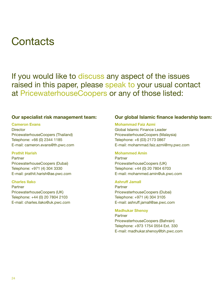### <span id="page-25-0"></span>**Contacts**

If you would like to discuss any aspect of the issues raised in this paper, please speak to your usual contact at PricewaterhouseCoopers or any of those listed:

#### **Our specialist risk management team:**

#### **Cameron Evans**

**Director** PricewaterhouseCoopers (Thailand) Telephone: +66 (0) 2344 1185 E-mail: cameron.evans@th.pwc.com

#### **Prathit Harish**

Partner PricewaterhouseCoopers (Dubai) Telephone: +971 (4) 304 3330 E-mail: prathit.harish@ae.pwc.com

#### **Charles Ilako**

Partner PricewaterhouseCoopers (UK) Telephone: +44 (0) 20 7804 2103 E-mail: charles.ilako@uk.pwc.com

#### **Our global Islamic finance leadership team:**

#### **Mohammad Faiz Azmi**

Global Islamic Finance Leader PricewaterhouseCoopers (Malaysia) Telephone: +6 (03) 2173 0867 E-mail: mohammad.faiz.azmi@my.pwc.com

#### **Mohammed Amin**

Partner PricewaterhouseCoopers (UK) Telephone: +44 (0) 20 7804 6703 E-mail: mohammed.amin@uk.pwc.com

#### **Ashruff Jamall**

Partner PricewaterhouseCoopers (Dubai) Telephone: +971 (4) 304 3105 E-mail: ashruff.jamall@ae.pwc.com

#### **Madhukar Shenoy**

Partner PricewaterhouseCoopers (Bahrain) Telephone: +973 1754 0554 Ext. 330 E-mail: madhukar.shenoy@bh.pwc.com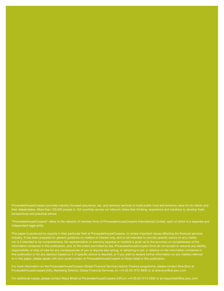<span id="page-26-0"></span>their stakeholders. More than 155,000 people in 153 countries across our network share their thinking, experience and solutions to develop fresh perspectives and practical advice.

["PricewaterhouseCoopers" refers to the network of member firms of PricewaterhouseCoopers International Limited, each of which is a separate and](#page-27-0)  independent legal entity.

This paper is produced by experts in their particular field at PricewaterhouseCoopers, to review important issues affecting the financial services industry. It has been prepared for general guidance on matters of interest only, and is not intended to provide specific advice on any matter, nor is it intended to be comprehensive. No representation or warranty (express or implied) is given as to the accuracy or completeness of the responsibility or duty of care for any consequences of you or anyone else acting, or refraining to act, in reliance on the information contained in to in this paper, please speak with your usual contact at PricewaterhouseCoopers or those listed in this publication.

For more information on the PricewaterhouseCoopers Global Financial Services Islamic Finance programme, please contact Áine Bryn at PricewaterhouseCoopers (UK), Marketing Director, Global Financial Services, on +44 (0) 20 7212 8839 or at aine.bryn@uk.pwc.com

For additional copies, please contact Maya Bhatti at PricewaterhouseCoopers (UK) on +44 (0) 20 7213 2302 or at maya.bhatti@uk.pwc.com